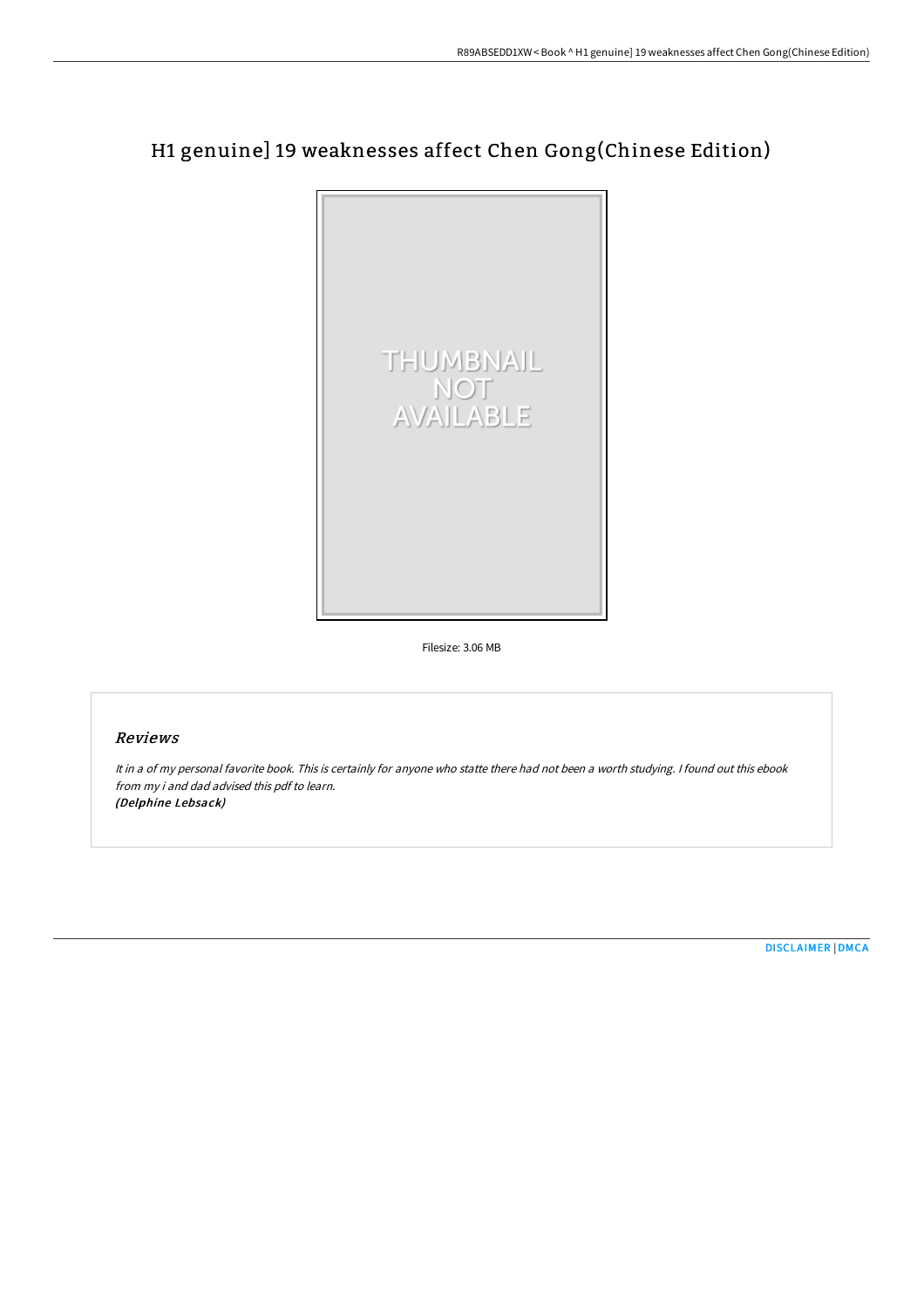## H1 genuine] 19 weaknesses affect Chen Gong(Chinese Edition)



Filesize: 3.06 MB

## Reviews

It in <sup>a</sup> of my personal favorite book. This is certainly for anyone who statte there had not been <sup>a</sup> worth studying. <sup>I</sup> found out this ebook from my i and dad advised this pdf to learn. (Delphine Lebsack)

[DISCLAIMER](http://albedo.media/disclaimer.html) | [DMCA](http://albedo.media/dmca.html)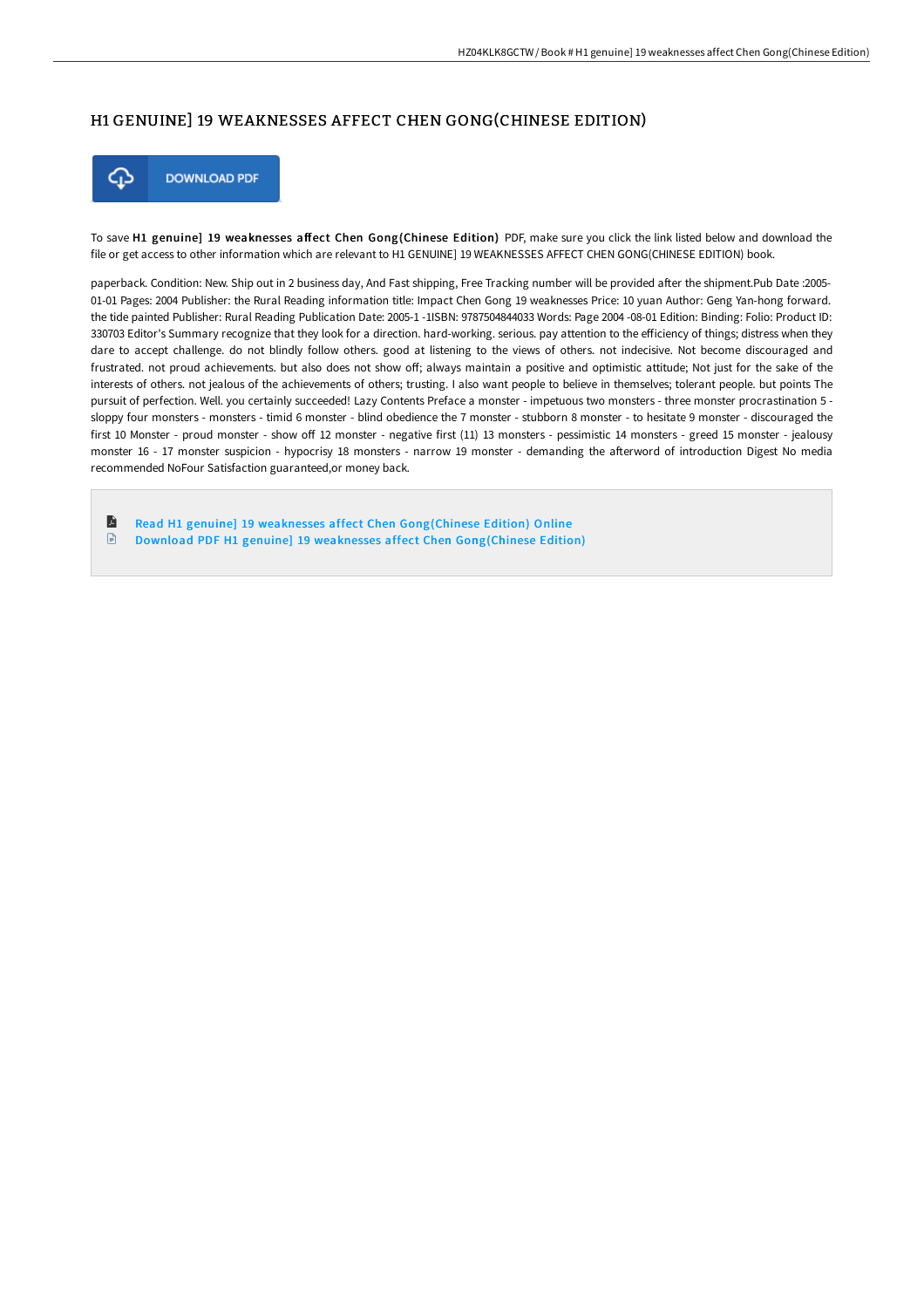## H1 GENUINE] 19 WEAKNESSES AFFECT CHEN GONG(CHINESE EDITION)



**DOWNLOAD PDF** 

To save H1 genuine] 19 weaknesses affect Chen Gong(Chinese Edition) PDF, make sure you click the link listed below and download the file or get access to other information which are relevant to H1 GENUINE] 19 WEAKNESSES AFFECT CHEN GONG(CHINESE EDITION) book.

paperback. Condition: New. Ship out in 2 business day, And Fast shipping, Free Tracking number will be provided after the shipment.Pub Date :2005-01-01 Pages: 2004 Publisher: the Rural Reading information title: Impact Chen Gong 19 weaknesses Price: 10 yuan Author: Geng Yan-hong forward. the tide painted Publisher: Rural Reading Publication Date: 2005-1 -1ISBN: 9787504844033 Words: Page 2004 -08-01 Edition: Binding: Folio: Product ID: 330703 Editor's Summary recognize that they look for a direction. hard-working. serious. pay attention to the efficiency of things; distress when they dare to accept challenge. do not blindly follow others. good at listening to the views of others. not indecisive. Not become discouraged and frustrated. not proud achievements, but also does not show off; always maintain a positive and optimistic attitude; Not just for the sake of the interests of others. not jealous of the achievements of others; trusting. I also want people to believe in themselves; tolerant people. but points The pursuit of perfection. Well. you certainly succeeded! Lazy Contents Preface a monster - impetuous two monsters - three monster procrastination 5 sloppy four monsters - monsters - timid 6 monster - blind obedience the 7 monster - stubborn 8 monster - to hesitate 9 monster - discouraged the first 10 Monster - proud monster - show off 12 monster - negative first (11) 13 monsters - pessimistic 14 monsters - greed 15 monster - jealousy monster 16 - 17 monster suspicion - hypocrisy 18 monsters - narrow 19 monster - demanding the afterword of introduction Digest No media recommended NoFour Satisfaction guaranteed,or money back.

E Read H1 genuine] 19 weaknesses affect Chen [Gong\(Chinese](http://albedo.media/h1-genuine-19-weaknesses-affect-chen-gong-chines.html) Edition) Online  $\Box$ Download PDF H1 genuine] 19 weaknesses affect Chen [Gong\(Chinese](http://albedo.media/h1-genuine-19-weaknesses-affect-chen-gong-chines.html) Edition)